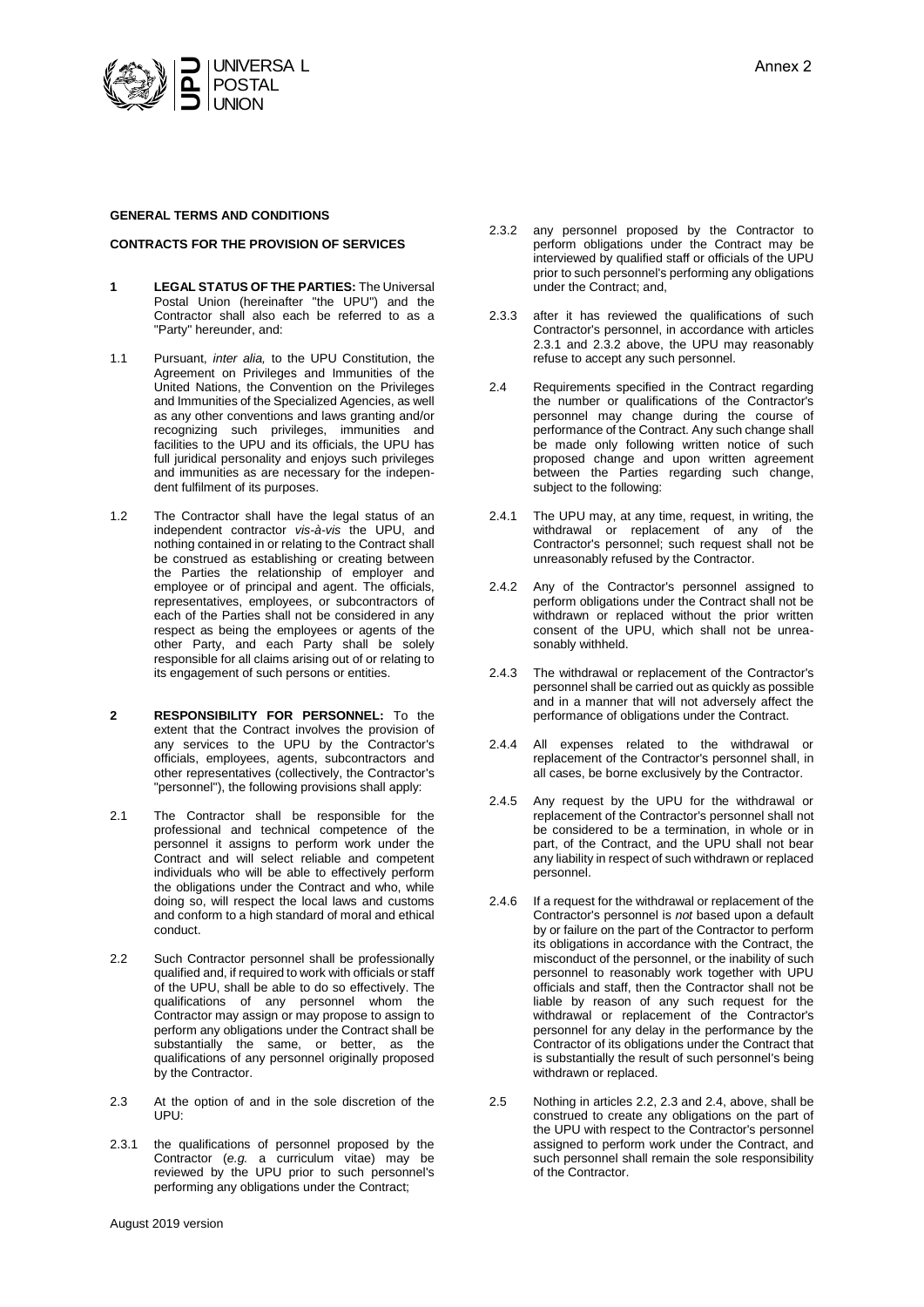

### **GENERAL TERMS AND CONDITIONS**

#### **CONTRACTS FOR THE PROVISION OF SERVICES**

- **1 LEGAL STATUS OF THE PARTIES:** The Universal Postal Union (hereinafter "the UPU") and the Contractor shall also each be referred to as a "Party" hereunder, and:
- 1.1 Pursuant, *inter alia,* to the UPU Constitution, the Agreement on Privileges and Immunities of the United Nations, the Convention on the Privileges and Immunities of the Specialized Agencies, as well as any other conventions and laws granting and/or recognizing such privileges, immunities and facilities to the UPU and its officials, the UPU has full juridical personality and enjoys such privileges and immunities as are necessary for the independent fulfilment of its purposes.
- 1.2 The Contractor shall have the legal status of an independent contractor *vis-à-vis* the UPU, and nothing contained in or relating to the Contract shall be construed as establishing or creating between the Parties the relationship of employer and employee or of principal and agent. The officials, representatives, employees, or subcontractors of each of the Parties shall not be considered in any respect as being the employees or agents of the other Party, and each Party shall be solely responsible for all claims arising out of or relating to its engagement of such persons or entities.
- **2 RESPONSIBILITY FOR PERSONNEL:** To the extent that the Contract involves the provision of any services to the UPU by the Contractor's officials, employees, agents, subcontractors and other representatives (collectively, the Contractor's "personnel"), the following provisions shall apply:
- 2.1 The Contractor shall be responsible for the professional and technical competence of the personnel it assigns to perform work under the Contract and will select reliable and competent individuals who will be able to effectively perform the obligations under the Contract and who, while doing so, will respect the local laws and customs and conform to a high standard of moral and ethical conduct.
- 2.2 Such Contractor personnel shall be professionally qualified and, if required to work with officials or staff of the UPU, shall be able to do so effectively. The qualifications of any personnel whom the Contractor may assign or may propose to assign to perform any obligations under the Contract shall be substantially the same, or better, as the qualifications of any personnel originally proposed by the Contractor.
- 2.3 At the option of and in the sole discretion of the UPU:
- 2.3.1 the qualifications of personnel proposed by the Contractor (*e.g.* a curriculum vitae) may be reviewed by the UPU prior to such personnel's performing any obligations under the Contract;
- August 2019 version
- 2.3.2 any personnel proposed by the Contractor to perform obligations under the Contract may be interviewed by qualified staff or officials of the UPU prior to such personnel's performing any obligations under the Contract; and,
- 2.3.3 after it has reviewed the qualifications of such Contractor's personnel, in accordance with articles 2.3.1 and 2.3.2 above, the UPU may reasonably refuse to accept any such personnel.
- 2.4 Requirements specified in the Contract regarding the number or qualifications of the Contractor's personnel may change during the course of performance of the Contract. Any such change shall be made only following written notice of such proposed change and upon written agreement between the Parties regarding such change, subject to the following:
- 2.4.1 The UPU may, at any time, request, in writing, the withdrawal or replacement of any of the Contractor's personnel; such request shall not be unreasonably refused by the Contractor.
- 2.4.2 Any of the Contractor's personnel assigned to perform obligations under the Contract shall not be withdrawn or replaced without the prior written consent of the UPU, which shall not be unreasonably withheld.
- 2.4.3 The withdrawal or replacement of the Contractor's personnel shall be carried out as quickly as possible and in a manner that will not adversely affect the performance of obligations under the Contract.
- 2.4.4 All expenses related to the withdrawal or replacement of the Contractor's personnel shall, in all cases, be borne exclusively by the Contractor.
- 2.4.5 Any request by the UPU for the withdrawal or replacement of the Contractor's personnel shall not be considered to be a termination, in whole or in part, of the Contract, and the UPU shall not bear any liability in respect of such withdrawn or replaced personnel.
- 2.4.6 If a request for the withdrawal or replacement of the Contractor's personnel is *not* based upon a default by or failure on the part of the Contractor to perform its obligations in accordance with the Contract, the misconduct of the personnel, or the inability of such personnel to reasonably work together with UPU officials and staff, then the Contractor shall not be liable by reason of any such request for the withdrawal or replacement of the Contractor's personnel for any delay in the performance by the Contractor of its obligations under the Contract that is substantially the result of such personnel's being withdrawn or replaced.
- 2.5 Nothing in articles 2.2, 2.3 and 2.4, above, shall be construed to create any obligations on the part of the UPU with respect to the Contractor's personnel assigned to perform work under the Contract, and such personnel shall remain the sole responsibility of the Contractor.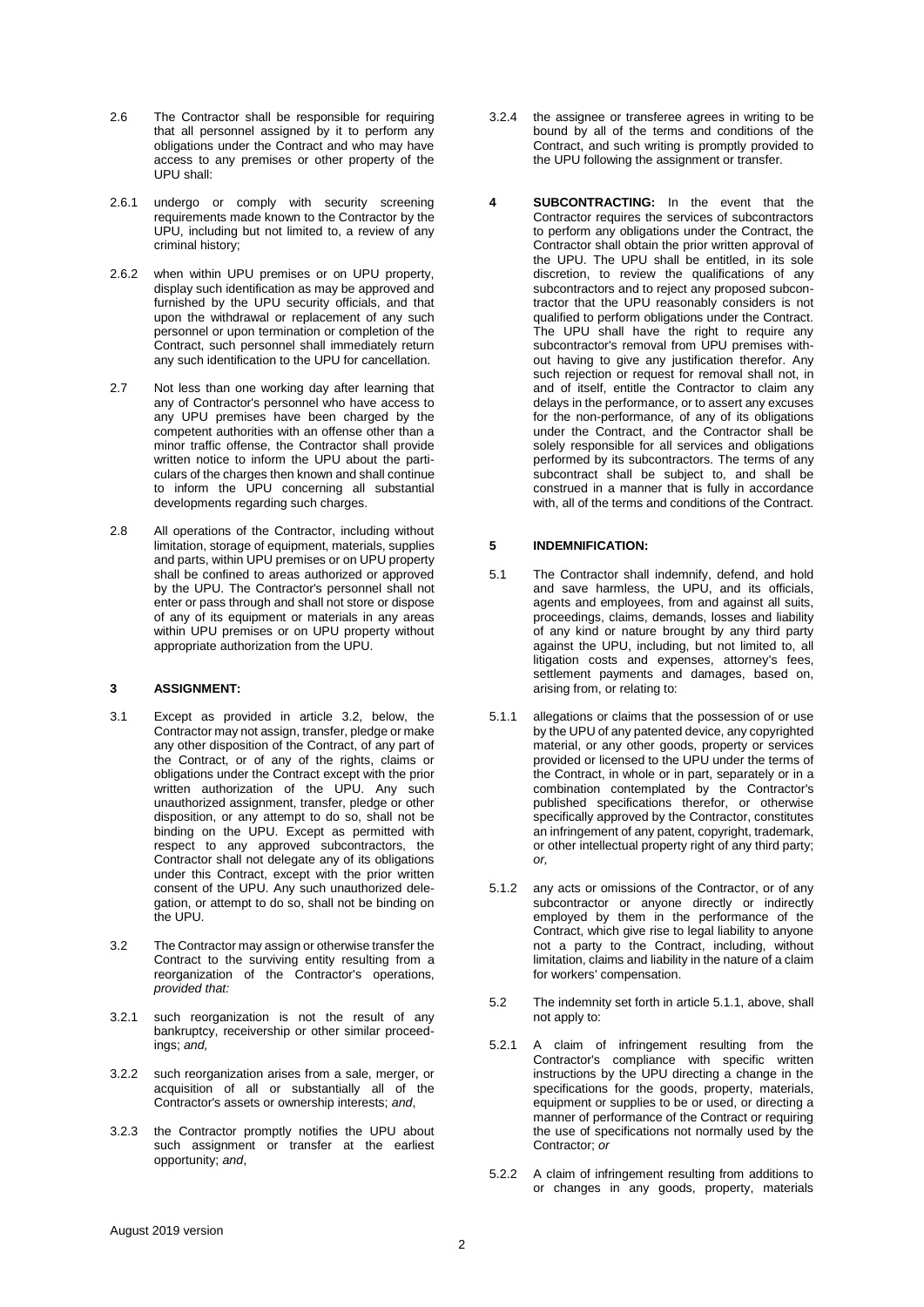- 2.6 The Contractor shall be responsible for requiring that all personnel assigned by it to perform any obligations under the Contract and who may have access to any premises or other property of the UPU shall:
- 2.6.1 undergo or comply with security screening requirements made known to the Contractor by the UPU, including but not limited to, a review of any criminal history;
- 2.6.2 when within UPU premises or on UPU property, display such identification as may be approved and furnished by the UPU security officials, and that upon the withdrawal or replacement of any such personnel or upon termination or completion of the Contract, such personnel shall immediately return any such identification to the UPU for cancellation.
- 2.7 Not less than one working day after learning that any of Contractor's personnel who have access to any UPU premises have been charged by the competent authorities with an offense other than a minor traffic offense, the Contractor shall provide written notice to inform the UPU about the particulars of the charges then known and shall continue to inform the UPU concerning all substantial developments regarding such charges.
- 2.8 All operations of the Contractor, including without limitation, storage of equipment, materials, supplies and parts, within UPU premises or on UPU property shall be confined to areas authorized or approved by the UPU. The Contractor's personnel shall not enter or pass through and shall not store or dispose of any of its equipment or materials in any areas within UPU premises or on UPU property without appropriate authorization from the UPU.

### **3 ASSIGNMENT:**

- 3.1 Except as provided in article 3.2, below, the Contractor may not assign, transfer, pledge or make any other disposition of the Contract, of any part of the Contract, or of any of the rights, claims or obligations under the Contract except with the prior written authorization of the UPU. Any such unauthorized assignment, transfer, pledge or other disposition, or any attempt to do so, shall not be binding on the UPU. Except as permitted with respect to any approved subcontractors, the Contractor shall not delegate any of its obligations under this Contract, except with the prior written consent of the UPU. Any such unauthorized delegation, or attempt to do so, shall not be binding on the UPU.
- 3.2 The Contractor may assign or otherwise transfer the Contract to the surviving entity resulting from a reorganization of the Contractor's operations, *provided that:*
- 3.2.1 such reorganization is not the result of any bankruptcy, receivership or other similar proceedings; *and,*
- 3.2.2 such reorganization arises from a sale, merger, or acquisition of all or substantially all of the Contractor's assets or ownership interests; *and*,
- 3.2.3 the Contractor promptly notifies the UPU about such assignment or transfer at the earliest opportunity; *and*,
- 3.2.4 the assignee or transferee agrees in writing to be bound by all of the terms and conditions of the Contract, and such writing is promptly provided to the UPU following the assignment or transfer.
- **4 SUBCONTRACTING:** In the event that the Contractor requires the services of subcontractors to perform any obligations under the Contract, the Contractor shall obtain the prior written approval of the UPU. The UPU shall be entitled, in its sole discretion, to review the qualifications of any subcontractors and to reject any proposed subcontractor that the UPU reasonably considers is not qualified to perform obligations under the Contract. The UPU shall have the right to require any subcontractor's removal from UPU premises without having to give any justification therefor. Any such rejection or request for removal shall not, in and of itself, entitle the Contractor to claim any delays in the performance, or to assert any excuses for the non-performance, of any of its obligations under the Contract, and the Contractor shall be solely responsible for all services and obligations performed by its subcontractors. The terms of any subcontract shall be subject to, and shall be construed in a manner that is fully in accordance with, all of the terms and conditions of the Contract.

### **5 INDEMNIFICATION:**

- 5.1 The Contractor shall indemnify, defend, and hold and save harmless, the UPU, and its officials, agents and employees, from and against all suits, proceedings, claims, demands, losses and liability of any kind or nature brought by any third party against the UPU, including, but not limited to, all litigation costs and expenses, attorney's fees, settlement payments and damages, based on, arising from, or relating to:
- 5.1.1 allegations or claims that the possession of or use by the UPU of any patented device, any copyrighted material, or any other goods, property or services provided or licensed to the UPU under the terms of the Contract, in whole or in part, separately or in a combination contemplated by the Contractor's published specifications therefor, or otherwise specifically approved by the Contractor, constitutes an infringement of any patent, copyright, trademark, or other intellectual property right of any third party; *or,*
- 5.1.2 any acts or omissions of the Contractor, or of any subcontractor or anyone directly or indirectly employed by them in the performance of the Contract, which give rise to legal liability to anyone not a party to the Contract, including, without limitation, claims and liability in the nature of a claim for workers' compensation.
- 5.2 The indemnity set forth in article 5.1.1, above, shall not apply to:
- 5.2.1 A claim of infringement resulting from the Contractor's compliance with specific written instructions by the UPU directing a change in the specifications for the goods, property, materials, equipment or supplies to be or used, or directing a manner of performance of the Contract or requiring the use of specifications not normally used by the Contractor; *or*
- 5.2.2 A claim of infringement resulting from additions to or changes in any goods, property, materials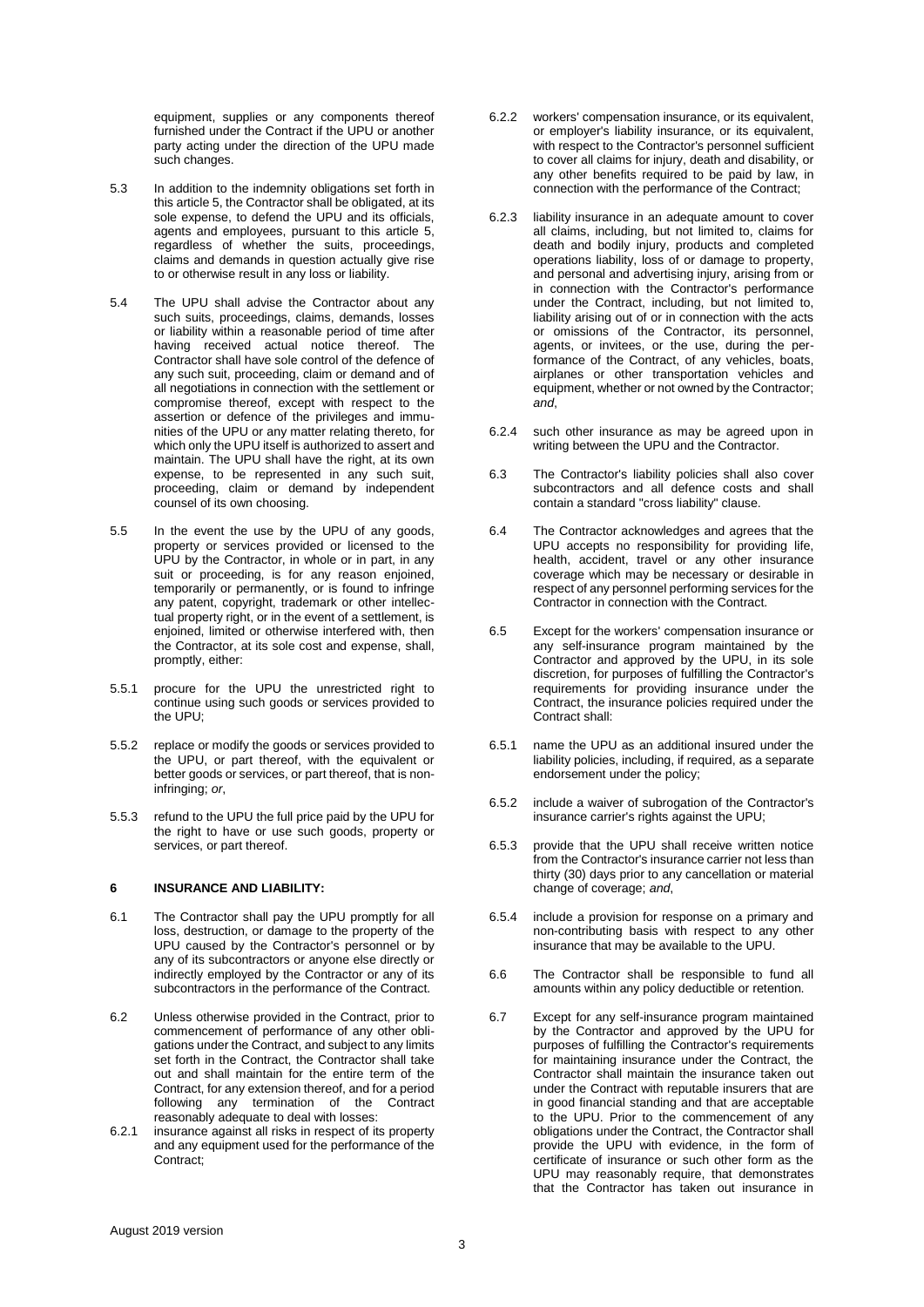equipment, supplies or any components thereof furnished under the Contract if the UPU or another party acting under the direction of the UPU made such changes.

- 5.3 In addition to the indemnity obligations set forth in this article 5, the Contractor shall be obligated, at its sole expense, to defend the UPU and its officials. agents and employees, pursuant to this article 5, regardless of whether the suits, proceedings, claims and demands in question actually give rise to or otherwise result in any loss or liability.
- 5.4 The UPU shall advise the Contractor about any such suits, proceedings, claims, demands, losses or liability within a reasonable period of time after having received actual notice thereof. The Contractor shall have sole control of the defence of any such suit, proceeding, claim or demand and of all negotiations in connection with the settlement or compromise thereof, except with respect to the assertion or defence of the privileges and immunities of the UPU or any matter relating thereto, for which only the UPU itself is authorized to assert and maintain. The UPU shall have the right, at its own expense, to be represented in any such suit, proceeding, claim or demand by independent counsel of its own choosing.
- 5.5 In the event the use by the UPU of any goods, property or services provided or licensed to the UPU by the Contractor, in whole or in part, in any suit or proceeding, is for any reason enjoined, temporarily or permanently, or is found to infringe any patent, copyright, trademark or other intellectual property right, or in the event of a settlement, is enjoined, limited or otherwise interfered with, then the Contractor, at its sole cost and expense, shall, promptly, either:
- 5.5.1 procure for the UPU the unrestricted right to continue using such goods or services provided to the UPU;
- 5.5.2 replace or modify the goods or services provided to the UPU, or part thereof, with the equivalent or better goods or services, or part thereof, that is noninfringing; *or*,
- 5.5.3 refund to the UPU the full price paid by the UPU for the right to have or use such goods, property or services, or part thereof.

### **6 INSURANCE AND LIABILITY:**

- 6.1 The Contractor shall pay the UPU promptly for all loss, destruction, or damage to the property of the UPU caused by the Contractor's personnel or by any of its subcontractors or anyone else directly or indirectly employed by the Contractor or any of its subcontractors in the performance of the Contract.
- 6.2 Unless otherwise provided in the Contract, prior to commencement of performance of any other obligations under the Contract, and subject to any limits set forth in the Contract, the Contractor shall take out and shall maintain for the entire term of the Contract, for any extension thereof, and for a period following any termination of the Contract reasonably adequate to deal with losses:
- 6.2.1 insurance against all risks in respect of its property and any equipment used for the performance of the Contract;
- 6.2.2 workers' compensation insurance, or its equivalent, or employer's liability insurance, or its equivalent, with respect to the Contractor's personnel sufficient to cover all claims for injury, death and disability, or any other benefits required to be paid by law, in connection with the performance of the Contract;
- 6.2.3 liability insurance in an adequate amount to cover all claims, including, but not limited to, claims for death and bodily injury, products and completed operations liability, loss of or damage to property, and personal and advertising injury, arising from or in connection with the Contractor's performance under the Contract, including, but not limited to, liability arising out of or in connection with the acts or omissions of the Contractor, its personnel, agents, or invitees, or the use, during the performance of the Contract, of any vehicles, boats, airplanes or other transportation vehicles and equipment, whether or not owned by the Contractor; *and*,
- 6.2.4 such other insurance as may be agreed upon in writing between the UPU and the Contractor.
- 6.3 The Contractor's liability policies shall also cover subcontractors and all defence costs and shall contain a standard "cross liability" clause.
- 6.4 The Contractor acknowledges and agrees that the UPU accepts no responsibility for providing life, health, accident, travel or any other insurance coverage which may be necessary or desirable in respect of any personnel performing services for the Contractor in connection with the Contract.
- 6.5 Except for the workers' compensation insurance or any self-insurance program maintained by the Contractor and approved by the UPU, in its sole discretion, for purposes of fulfilling the Contractor's requirements for providing insurance under the Contract, the insurance policies required under the Contract shall:
- 6.5.1 name the UPU as an additional insured under the liability policies, including, if required, as a separate endorsement under the policy;
- 6.5.2 include a waiver of subrogation of the Contractor's insurance carrier's rights against the UPU;
- 6.5.3 provide that the UPU shall receive written notice from the Contractor's insurance carrier not less than thirty (30) days prior to any cancellation or material change of coverage; *and*,
- 6.5.4 include a provision for response on a primary and non-contributing basis with respect to any other insurance that may be available to the UPU.
- 6.6 The Contractor shall be responsible to fund all amounts within any policy deductible or retention.
- 6.7 Except for any self-insurance program maintained by the Contractor and approved by the UPU for purposes of fulfilling the Contractor's requirements for maintaining insurance under the Contract, the Contractor shall maintain the insurance taken out under the Contract with reputable insurers that are in good financial standing and that are acceptable to the UPU. Prior to the commencement of any obligations under the Contract, the Contractor shall provide the UPU with evidence, in the form of certificate of insurance or such other form as the UPU may reasonably require, that demonstrates that the Contractor has taken out insurance in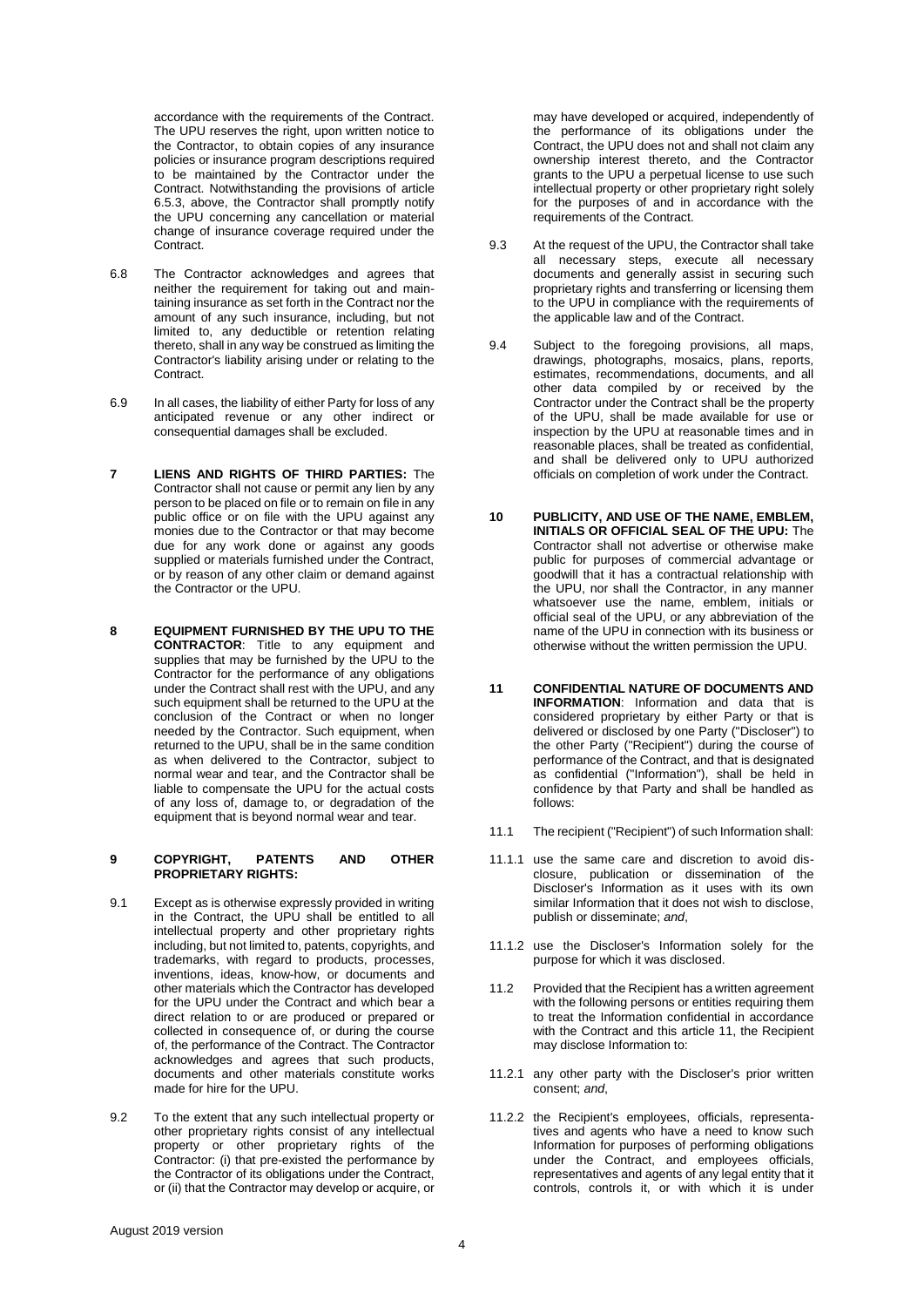accordance with the requirements of the Contract. The UPU reserves the right, upon written notice to the Contractor, to obtain copies of any insurance policies or insurance program descriptions required to be maintained by the Contractor under the Contract. Notwithstanding the provisions of article 6.5.3, above, the Contractor shall promptly notify the UPU concerning any cancellation or material change of insurance coverage required under the Contract.

- 6.8 The Contractor acknowledges and agrees that neither the requirement for taking out and maintaining insurance as set forth in the Contract nor the amount of any such insurance, including, but not limited to, any deductible or retention relating thereto, shall in any way be construed as limiting the Contractor's liability arising under or relating to the Contract.
- 6.9 In all cases, the liability of either Party for loss of any anticipated revenue or any other indirect or consequential damages shall be excluded.
- **7 LIENS AND RIGHTS OF THIRD PARTIES:** The Contractor shall not cause or permit any lien by any person to be placed on file or to remain on file in any public office or on file with the UPU against any monies due to the Contractor or that may become due for any work done or against any goods supplied or materials furnished under the Contract, or by reason of any other claim or demand against the Contractor or the UPU.
- **8 EQUIPMENT FURNISHED BY THE UPU TO THE CONTRACTOR**: Title to any equipment and supplies that may be furnished by the UPU to the Contractor for the performance of any obligations under the Contract shall rest with the UPU, and any such equipment shall be returned to the UPU at the conclusion of the Contract or when no longer needed by the Contractor. Such equipment, when returned to the UPU, shall be in the same condition as when delivered to the Contractor, subject to normal wear and tear, and the Contractor shall be liable to compensate the UPU for the actual costs of any loss of, damage to, or degradation of the equipment that is beyond normal wear and tear.

### **9 COPYRIGHT, PATENTS AND OTHER PROPRIETARY RIGHTS:**

- 9.1 Except as is otherwise expressly provided in writing in the Contract, the UPU shall be entitled to all intellectual property and other proprietary rights including, but not limited to, patents, copyrights, and trademarks, with regard to products, processes, inventions, ideas, know-how, or documents and other materials which the Contractor has developed for the UPU under the Contract and which bear a direct relation to or are produced or prepared or collected in consequence of, or during the course of, the performance of the Contract. The Contractor acknowledges and agrees that such products, documents and other materials constitute works made for hire for the UPU.
- 9.2 To the extent that any such intellectual property or other proprietary rights consist of any intellectual property or other proprietary rights of the Contractor: (i) that pre-existed the performance by the Contractor of its obligations under the Contract, or (ii) that the Contractor may develop or acquire, or

may have developed or acquired, independently of the performance of its obligations under the Contract, the UPU does not and shall not claim any ownership interest thereto, and the Contractor grants to the UPU a perpetual license to use such intellectual property or other proprietary right solely for the purposes of and in accordance with the requirements of the Contract.

- 9.3 At the request of the UPU, the Contractor shall take all necessary steps, execute all necessary documents and generally assist in securing such proprietary rights and transferring or licensing them to the UPU in compliance with the requirements of the applicable law and of the Contract.
- 9.4 Subject to the foregoing provisions, all maps, drawings, photographs, mosaics, plans, reports, estimates, recommendations, documents, and all other data compiled by or received by the Contractor under the Contract shall be the property of the UPU, shall be made available for use or inspection by the UPU at reasonable times and in reasonable places, shall be treated as confidential, and shall be delivered only to UPU authorized officials on completion of work under the Contract.
- **10 PUBLICITY, AND USE OF THE NAME, EMBLEM, INITIALS OR OFFICIAL SEAL OF THE UPU:** The Contractor shall not advertise or otherwise make public for purposes of commercial advantage or goodwill that it has a contractual relationship with the UPU, nor shall the Contractor, in any manner whatsoever use the name, emblem, initials or official seal of the UPU, or any abbreviation of the name of the UPU in connection with its business or otherwise without the written permission the UPU.
- **11 CONFIDENTIAL NATURE OF DOCUMENTS AND INFORMATION**: Information and data that is considered proprietary by either Party or that is delivered or disclosed by one Party ("Discloser") to the other Party ("Recipient") during the course of performance of the Contract, and that is designated as confidential ("Information"), shall be held in confidence by that Party and shall be handled as follows:
- 11.1 The recipient ("Recipient") of such Information shall:
- 11.1.1 use the same care and discretion to avoid disclosure, publication or dissemination of the Discloser's Information as it uses with its own similar Information that it does not wish to disclose, publish or disseminate; *and*,
- 11.1.2 use the Discloser's Information solely for the purpose for which it was disclosed.
- 11.2 Provided that the Recipient has a written agreement with the following persons or entities requiring them to treat the Information confidential in accordance with the Contract and this article 11, the Recipient may disclose Information to:
- 11.2.1 any other party with the Discloser's prior written consent; *and*,
- 11.2.2 the Recipient's employees, officials, representatives and agents who have a need to know such Information for purposes of performing obligations under the Contract, and employees officials, representatives and agents of any legal entity that it controls, controls it, or with which it is under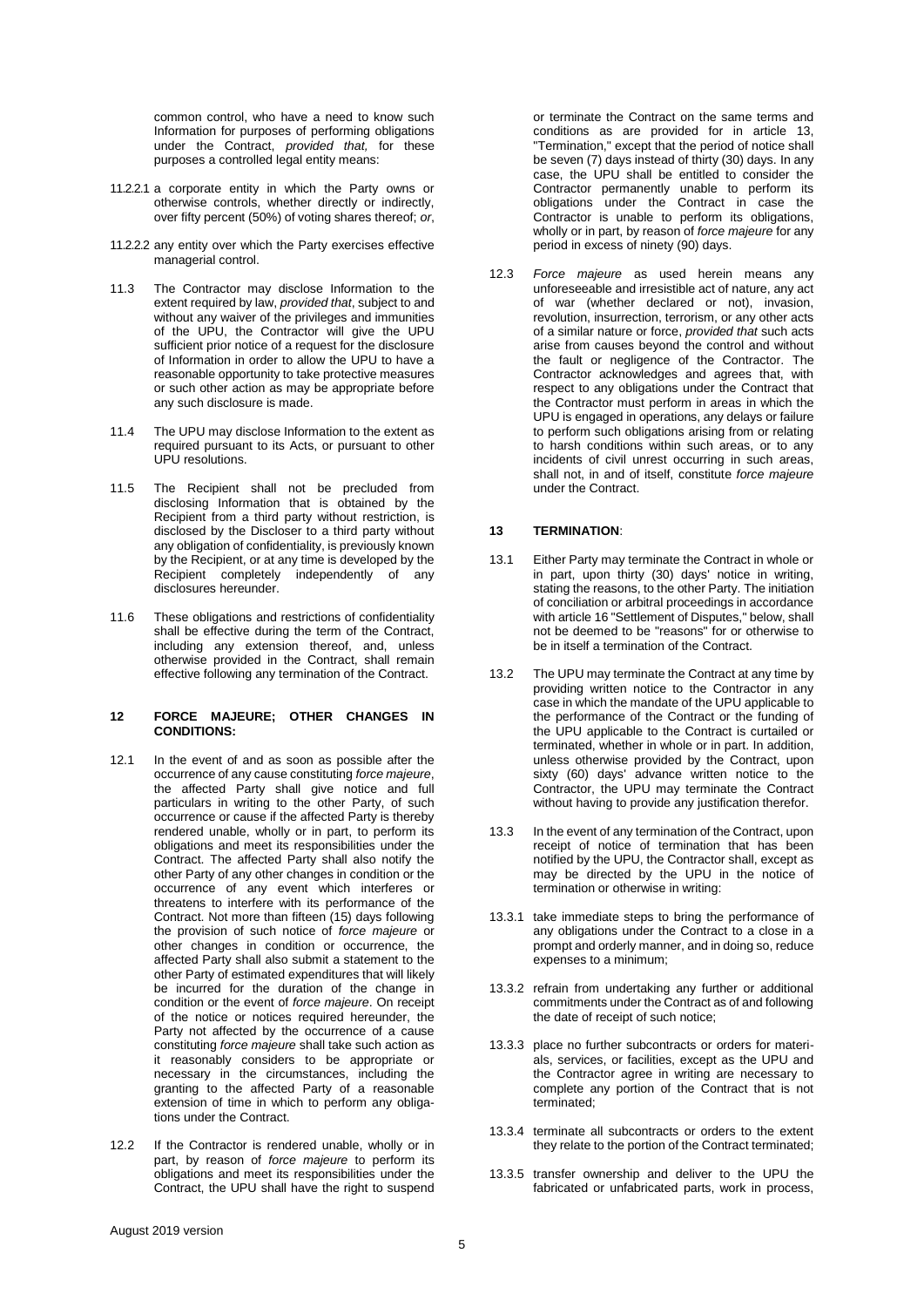common control, who have a need to know such Information for purposes of performing obligations under the Contract, *provided that,* for these purposes a controlled legal entity means:

- 11.2.2.1 a corporate entity in which the Party owns or otherwise controls, whether directly or indirectly, over fifty percent (50%) of voting shares thereof; *or*,
- 11.2.2.2 any entity over which the Party exercises effective managerial control.
- 11.3 The Contractor may disclose Information to the extent required by law, *provided that*, subject to and without any waiver of the privileges and immunities of the UPU, the Contractor will give the UPU sufficient prior notice of a request for the disclosure of Information in order to allow the UPU to have a reasonable opportunity to take protective measures or such other action as may be appropriate before any such disclosure is made.
- 11.4 The UPU may disclose Information to the extent as required pursuant to its Acts, or pursuant to other UPU resolutions.
- 11.5 The Recipient shall not be precluded from disclosing Information that is obtained by the Recipient from a third party without restriction, is disclosed by the Discloser to a third party without any obligation of confidentiality, is previously known by the Recipient, or at any time is developed by the Recipient completely independently of any disclosures hereunder.
- 11.6 These obligations and restrictions of confidentiality shall be effective during the term of the Contract, including any extension thereof, and, unless otherwise provided in the Contract, shall remain effective following any termination of the Contract.

#### **12 FORCE MAJEURE; OTHER CHANGES IN CONDITIONS:**

- 12.1 In the event of and as soon as possible after the occurrence of any cause constituting *force majeure*, the affected Party shall give notice and full particulars in writing to the other Party, of such occurrence or cause if the affected Party is thereby rendered unable, wholly or in part, to perform its obligations and meet its responsibilities under the Contract. The affected Party shall also notify the other Party of any other changes in condition or the occurrence of any event which interferes or threatens to interfere with its performance of the Contract. Not more than fifteen (15) days following the provision of such notice of *force majeure* or other changes in condition or occurrence, the affected Party shall also submit a statement to the other Party of estimated expenditures that will likely be incurred for the duration of the change in condition or the event of *force majeure*. On receipt of the notice or notices required hereunder, the Party not affected by the occurrence of a cause constituting *force majeure* shall take such action as it reasonably considers to be appropriate or necessary in the circumstances, including the granting to the affected Party of a reasonable extension of time in which to perform any obligations under the Contract.
- 12.2 If the Contractor is rendered unable, wholly or in part, by reason of *force majeure* to perform its obligations and meet its responsibilities under the Contract, the UPU shall have the right to suspend

or terminate the Contract on the same terms and conditions as are provided for in article 13, "Termination," except that the period of notice shall be seven (7) days instead of thirty (30) days. In any case, the UPU shall be entitled to consider the Contractor permanently unable to perform its obligations under the Contract in case the Contractor is unable to perform its obligations, wholly or in part, by reason of *force majeure* for any period in excess of ninety (90) days.

12.3 *Force majeure* as used herein means any unforeseeable and irresistible act of nature, any act of war (whether declared or not), invasion, revolution, insurrection, terrorism, or any other acts of a similar nature or force, *provided that* such acts arise from causes beyond the control and without the fault or negligence of the Contractor. The Contractor acknowledges and agrees that, with respect to any obligations under the Contract that the Contractor must perform in areas in which the UPU is engaged in operations, any delays or failure to perform such obligations arising from or relating to harsh conditions within such areas, or to any incidents of civil unrest occurring in such areas, shall not, in and of itself, constitute *force majeure*  under the Contract.

# **13 TERMINATION**:

- 13.1 Either Party may terminate the Contract in whole or in part, upon thirty (30) days' notice in writing, stating the reasons, to the other Party. The initiation of conciliation or arbitral proceedings in accordance with article 16 "Settlement of Disputes," below, shall not be deemed to be "reasons" for or otherwise to be in itself a termination of the Contract.
- 13.2 The UPU may terminate the Contract at any time by providing written notice to the Contractor in any case in which the mandate of the UPU applicable to the performance of the Contract or the funding of the UPU applicable to the Contract is curtailed or terminated, whether in whole or in part. In addition, unless otherwise provided by the Contract, upon sixty (60) days' advance written notice to the Contractor, the UPU may terminate the Contract without having to provide any justification therefor.
- 13.3 In the event of any termination of the Contract, upon receipt of notice of termination that has been notified by the UPU, the Contractor shall, except as may be directed by the UPU in the notice of termination or otherwise in writing:
- 13.3.1 take immediate steps to bring the performance of any obligations under the Contract to a close in a prompt and orderly manner, and in doing so, reduce expenses to a minimum;
- 13.3.2 refrain from undertaking any further or additional commitments under the Contract as of and following the date of receipt of such notice;
- 13.3.3 place no further subcontracts or orders for materials, services, or facilities, except as the UPU and the Contractor agree in writing are necessary to complete any portion of the Contract that is not terminated;
- 13.3.4 terminate all subcontracts or orders to the extent they relate to the portion of the Contract terminated;
- 13.3.5 transfer ownership and deliver to the UPU the fabricated or unfabricated parts, work in process,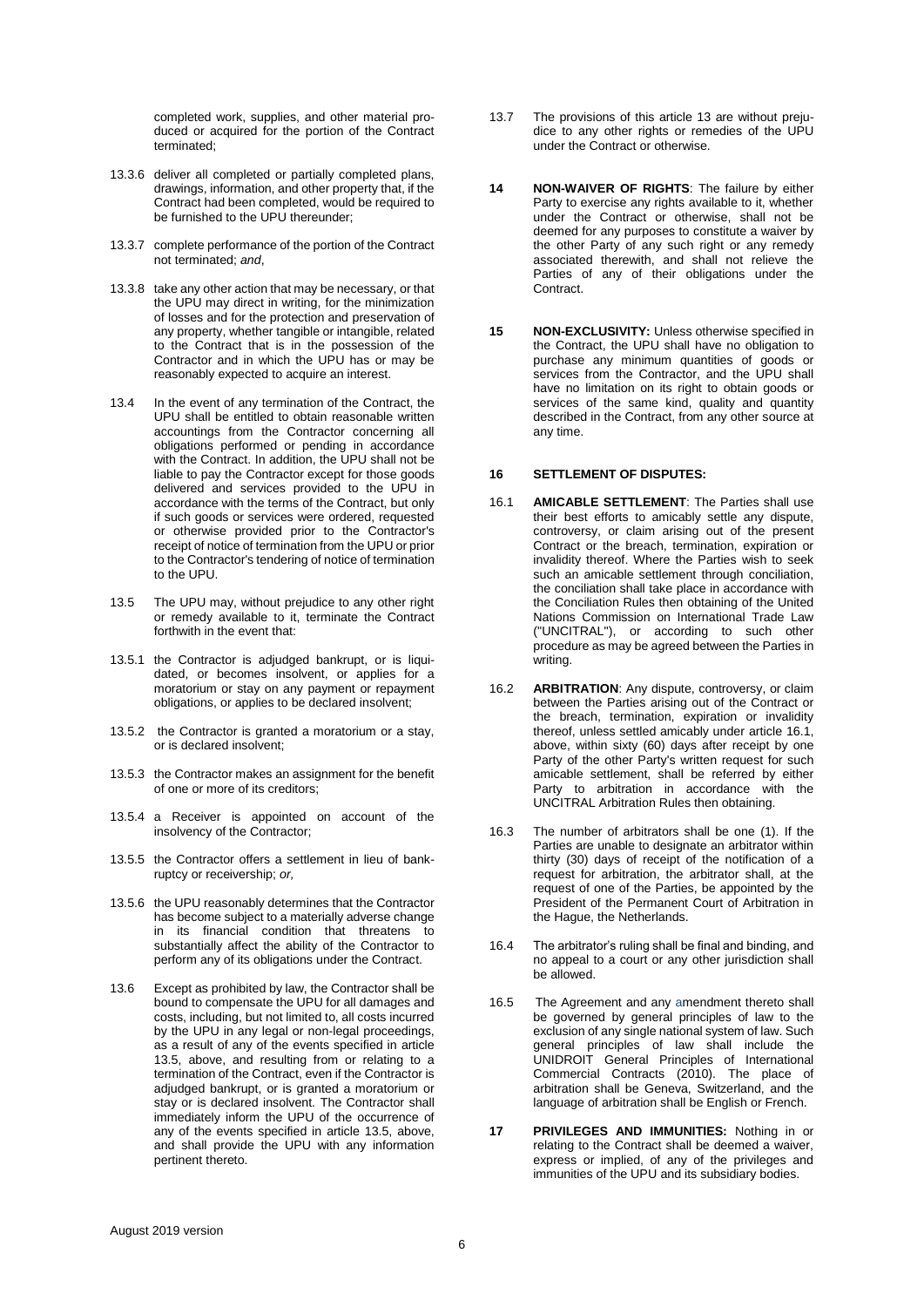completed work, supplies, and other material produced or acquired for the portion of the Contract terminated;

- 13.3.6 deliver all completed or partially completed plans, drawings, information, and other property that, if the Contract had been completed, would be required to be furnished to the UPU thereunder;
- 13.3.7 complete performance of the portion of the Contract not terminated; *and*,
- 13.3.8 take any other action that may be necessary, or that the UPU may direct in writing, for the minimization of losses and for the protection and preservation of any property, whether tangible or intangible, related to the Contract that is in the possession of the Contractor and in which the UPU has or may be reasonably expected to acquire an interest.
- 13.4 In the event of any termination of the Contract, the UPU shall be entitled to obtain reasonable written accountings from the Contractor concerning all obligations performed or pending in accordance with the Contract. In addition, the UPU shall not be liable to pay the Contractor except for those goods delivered and services provided to the UPU in accordance with the terms of the Contract, but only if such goods or services were ordered, requested or otherwise provided prior to the Contractor's receipt of notice of termination from the UPU or prior to the Contractor's tendering of notice of termination to the UPU.
- 13.5 The UPU may, without prejudice to any other right or remedy available to it, terminate the Contract forthwith in the event that:
- 13.5.1 the Contractor is adjudged bankrupt, or is liquidated, or becomes insolvent, or applies for a moratorium or stay on any payment or repayment obligations, or applies to be declared insolvent;
- 13.5.2 the Contractor is granted a moratorium or a stay, or is declared insolvent;
- 13.5.3 the Contractor makes an assignment for the benefit of one or more of its creditors;
- 13.5.4 a Receiver is appointed on account of the insolvency of the Contractor;
- 13.5.5 the Contractor offers a settlement in lieu of bankruptcy or receivership; *or,*
- 13.5.6 the UPU reasonably determines that the Contractor has become subject to a materially adverse change in its financial condition that threatens to substantially affect the ability of the Contractor to perform any of its obligations under the Contract.
- 13.6 Except as prohibited by law, the Contractor shall be bound to compensate the UPU for all damages and costs, including, but not limited to, all costs incurred by the UPU in any legal or non-legal proceedings, as a result of any of the events specified in article 13.5, above, and resulting from or relating to a termination of the Contract, even if the Contractor is adjudged bankrupt, or is granted a moratorium or stay or is declared insolvent. The Contractor shall immediately inform the UPU of the occurrence of any of the events specified in article 13.5, above, and shall provide the UPU with any information pertinent thereto.
- 13.7 The provisions of this article 13 are without prejudice to any other rights or remedies of the UPU under the Contract or otherwise.
- **14 NON-WAIVER OF RIGHTS**: The failure by either Party to exercise any rights available to it, whether under the Contract or otherwise, shall not be deemed for any purposes to constitute a waiver by the other Party of any such right or any remedy associated therewith, and shall not relieve the Parties of any of their obligations under the Contract.
- **15 NON-EXCLUSIVITY:** Unless otherwise specified in the Contract, the UPU shall have no obligation to purchase any minimum quantities of goods or services from the Contractor, and the UPU shall have no limitation on its right to obtain goods or services of the same kind, quality and quantity described in the Contract, from any other source at any time.

### **16 SETTLEMENT OF DISPUTES:**

- 16.1 **AMICABLE SETTLEMENT**: The Parties shall use their best efforts to amicably settle any dispute, controversy, or claim arising out of the present Contract or the breach, termination, expiration or invalidity thereof. Where the Parties wish to seek such an amicable settlement through conciliation, the conciliation shall take place in accordance with the Conciliation Rules then obtaining of the United Nations Commission on International Trade Law ("UNCITRAL"), or according to such other procedure as may be agreed between the Parties in writing.
- 16.2 **ARBITRATION**: Any dispute, controversy, or claim between the Parties arising out of the Contract or the breach, termination, expiration or invalidity thereof, unless settled amicably under article 16.1, above, within sixty (60) days after receipt by one Party of the other Party's written request for such amicable settlement, shall be referred by either Party to arbitration in accordance with the UNCITRAL Arbitration Rules then obtaining.
- 16.3 The number of arbitrators shall be one (1). If the Parties are unable to designate an arbitrator within thirty (30) days of receipt of the notification of a request for arbitration, the arbitrator shall, at the request of one of the Parties, be appointed by the President of the Permanent Court of Arbitration in the Hague, the Netherlands.
- 16.4 The arbitrator's ruling shall be final and binding, and no appeal to a court or any other jurisdiction shall be allowed.
- 16.5 The Agreement and any amendment thereto shall be governed by general principles of law to the exclusion of any single national system of law. Such general principles of law shall include the UNIDROIT General Principles of International Commercial Contracts (2010). The place of arbitration shall be Geneva, Switzerland, and the language of arbitration shall be English or French.
- **17 PRIVILEGES AND IMMUNITIES:** Nothing in or relating to the Contract shall be deemed a waiver, express or implied, of any of the privileges and immunities of the UPU and its subsidiary bodies.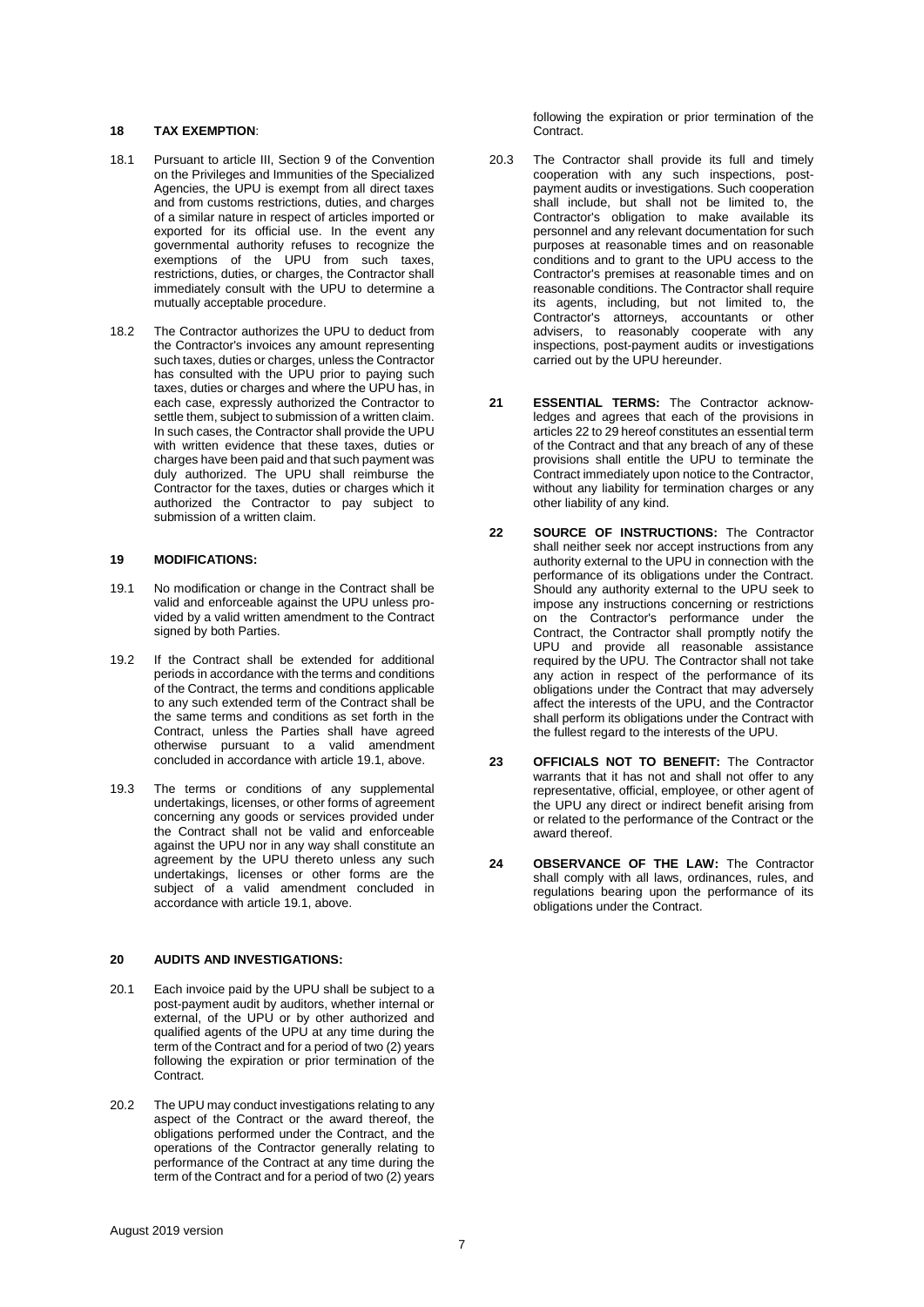# **18 TAX EXEMPTION**:

- 18.1 Pursuant to article III, Section 9 of the Convention on the Privileges and Immunities of the Specialized Agencies, the UPU is exempt from all direct taxes and from customs restrictions, duties, and charges of a similar nature in respect of articles imported or exported for its official use. In the event any governmental authority refuses to recognize the exemptions of the UPU from such taxes, restrictions, duties, or charges, the Contractor shall immediately consult with the UPU to determine a mutually acceptable procedure.
- 18.2 The Contractor authorizes the UPU to deduct from the Contractor's invoices any amount representing such taxes, duties or charges, unless the Contractor has consulted with the UPU prior to paying such taxes, duties or charges and where the UPU has, in each case, expressly authorized the Contractor to settle them, subject to submission of a written claim. In such cases, the Contractor shall provide the UPU with written evidence that these taxes, duties or charges have been paid and that such payment was duly authorized. The UPU shall reimburse the Contractor for the taxes, duties or charges which it authorized the Contractor to pay subject to submission of a written claim.

# **19 MODIFICATIONS:**

- 19.1 No modification or change in the Contract shall be valid and enforceable against the UPU unless provided by a valid written amendment to the Contract signed by both Parties.
- 19.2 If the Contract shall be extended for additional periods in accordance with the terms and conditions of the Contract, the terms and conditions applicable to any such extended term of the Contract shall be the same terms and conditions as set forth in the Contract, unless the Parties shall have agreed otherwise pursuant to a valid amendment concluded in accordance with article 19.1, above.
- 19.3 The terms or conditions of any supplemental undertakings, licenses, or other forms of agreement concerning any goods or services provided under the Contract shall not be valid and enforceable against the UPU nor in any way shall constitute an agreement by the UPU thereto unless any such undertakings, licenses or other forms are the subject of a valid amendment concluded in accordance with article 19.1, above.

### **20 AUDITS AND INVESTIGATIONS:**

- 20.1 Each invoice paid by the UPU shall be subject to a post-payment audit by auditors, whether internal or external, of the UPU or by other authorized and qualified agents of the UPU at any time during the term of the Contract and for a period of two (2) years following the expiration or prior termination of the Contract.
- 20.2 The UPU may conduct investigations relating to any aspect of the Contract or the award thereof, the obligations performed under the Contract, and the operations of the Contractor generally relating to performance of the Contract at any time during the term of the Contract and for a period of two (2) years

following the expiration or prior termination of the Contract.

- 20.3 The Contractor shall provide its full and timely cooperation with any such inspections, postpayment audits or investigations. Such cooperation shall include, but shall not be limited to, the Contractor's obligation to make available its personnel and any relevant documentation for such purposes at reasonable times and on reasonable conditions and to grant to the UPU access to the Contractor's premises at reasonable times and on reasonable conditions. The Contractor shall require its agents, including, but not limited to, the Contractor's attorneys, accountants or other advisers, to reasonably cooperate with any inspections, post-payment audits or investigations carried out by the UPU hereunder.
- **21 ESSENTIAL TERMS:** The Contractor acknowledges and agrees that each of the provisions in articles 22 to 29 hereof constitutes an essential term of the Contract and that any breach of any of these provisions shall entitle the UPU to terminate the Contract immediately upon notice to the Contractor, without any liability for termination charges or any other liability of any kind.
- **22 SOURCE OF INSTRUCTIONS:** The Contractor shall neither seek nor accept instructions from any authority external to the UPU in connection with the performance of its obligations under the Contract. Should any authority external to the UPU seek to impose any instructions concerning or restrictions on the Contractor's performance under the Contract, the Contractor shall promptly notify the UPU and provide all reasonable assistance required by the UPU. The Contractor shall not take any action in respect of the performance of its obligations under the Contract that may adversely affect the interests of the UPU, and the Contractor shall perform its obligations under the Contract with the fullest regard to the interests of the UPU.
- **23 OFFICIALS NOT TO BENEFIT:** The Contractor warrants that it has not and shall not offer to any representative, official, employee, or other agent of the UPU any direct or indirect benefit arising from or related to the performance of the Contract or the award thereof.
- **24 OBSERVANCE OF THE LAW:** The Contractor shall comply with all laws, ordinances, rules, and regulations bearing upon the performance of its obligations under the Contract.